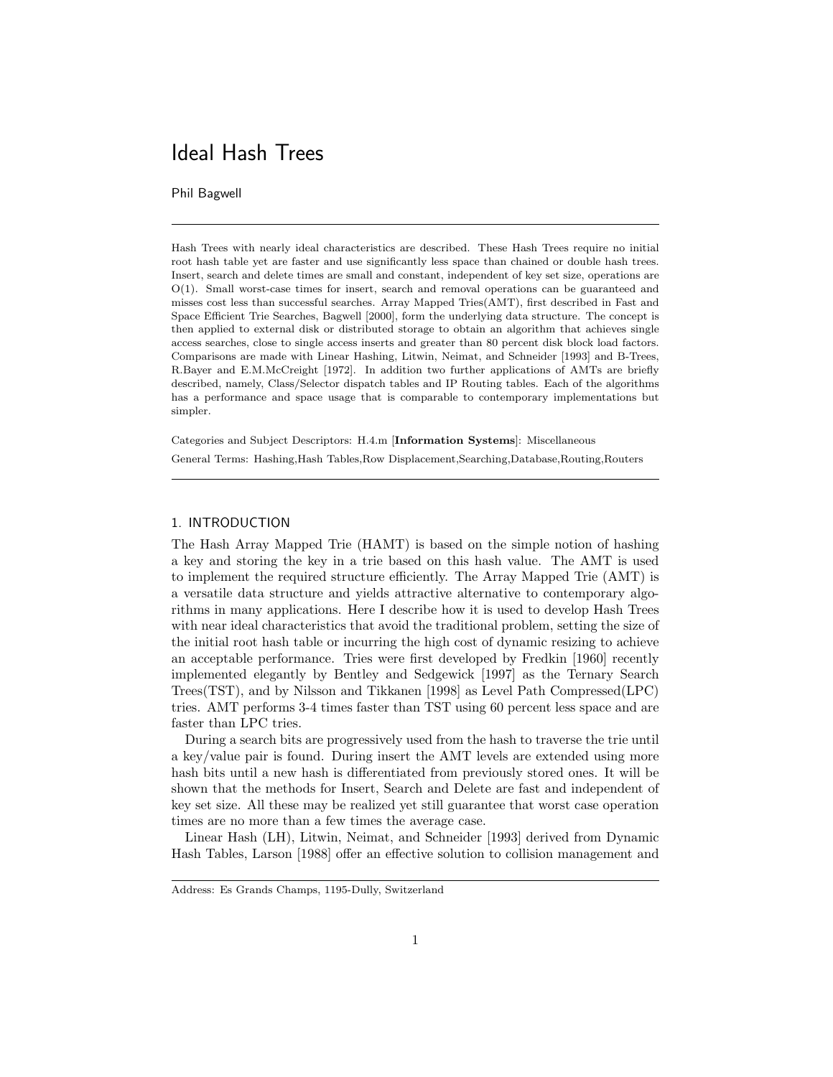# Ideal Hash Trees

Phil Bagwell

Hash Trees with nearly ideal characteristics are described. These Hash Trees require no initial root hash table yet are faster and use significantly less space than chained or double hash trees. Insert, search and delete times are small and constant, independent of key set size, operations are O(1). Small worst-case times for insert, search and removal operations can be guaranteed and misses cost less than successful searches. Array Mapped Tries(AMT), first described in Fast and Space Efficient Trie Searches, Bagwell [2000], form the underlying data structure. The concept is then applied to external disk or distributed storage to obtain an algorithm that achieves single access searches, close to single access inserts and greater than 80 percent disk block load factors. Comparisons are made with Linear Hashing, Litwin, Neimat, and Schneider [1993] and B-Trees, R.Bayer and E.M.McCreight [1972]. In addition two further applications of AMTs are briefly described, namely, Class/Selector dispatch tables and IP Routing tables. Each of the algorithms has a performance and space usage that is comparable to contemporary implementations but simpler.

Categories and Subject Descriptors: H.4.m [Information Systems]: Miscellaneous

General Terms: Hashing,Hash Tables,Row Displacement,Searching,Database,Routing,Routers

## 1. INTRODUCTION

The Hash Array Mapped Trie (HAMT) is based on the simple notion of hashing a key and storing the key in a trie based on this hash value. The AMT is used to implement the required structure efficiently. The Array Mapped Trie (AMT) is a versatile data structure and yields attractive alternative to contemporary algorithms in many applications. Here I describe how it is used to develop Hash Trees with near ideal characteristics that avoid the traditional problem, setting the size of the initial root hash table or incurring the high cost of dynamic resizing to achieve an acceptable performance. Tries were first developed by Fredkin [1960] recently implemented elegantly by Bentley and Sedgewick [1997] as the Ternary Search Trees(TST), and by Nilsson and Tikkanen [1998] as Level Path Compressed(LPC) tries. AMT performs 3-4 times faster than TST using 60 percent less space and are faster than LPC tries.

During a search bits are progressively used from the hash to traverse the trie until a key/value pair is found. During insert the AMT levels are extended using more hash bits until a new hash is differentiated from previously stored ones. It will be shown that the methods for Insert, Search and Delete are fast and independent of key set size. All these may be realized yet still guarantee that worst case operation times are no more than a few times the average case.

Linear Hash (LH), Litwin, Neimat, and Schneider [1993] derived from Dynamic Hash Tables, Larson [1988] offer an effective solution to collision management and

Address: Es Grands Champs, 1195-Dully, Switzerland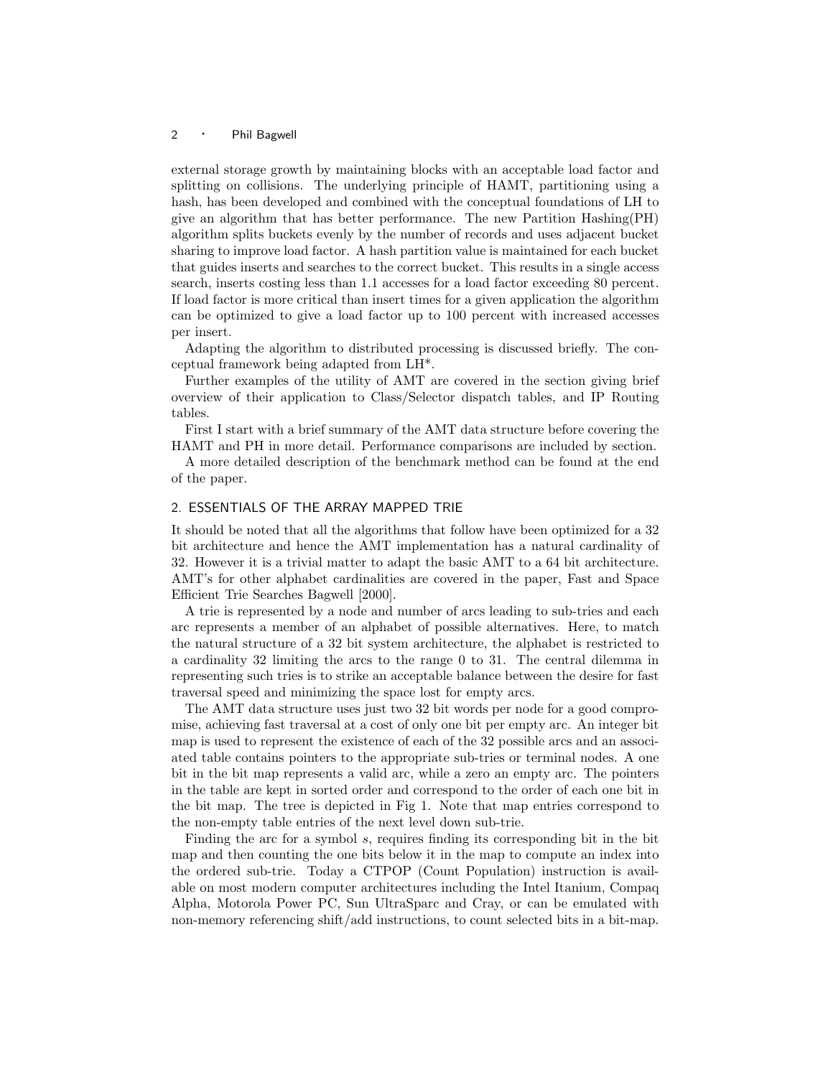external storage growth by maintaining blocks with an acceptable load factor and splitting on collisions. The underlying principle of HAMT, partitioning using a hash, has been developed and combined with the conceptual foundations of LH to give an algorithm that has better performance. The new Partition Hashing(PH) algorithm splits buckets evenly by the number of records and uses adjacent bucket sharing to improve load factor. A hash partition value is maintained for each bucket that guides inserts and searches to the correct bucket. This results in a single access search, inserts costing less than 1.1 accesses for a load factor exceeding 80 percent. If load factor is more critical than insert times for a given application the algorithm can be optimized to give a load factor up to 100 percent with increased accesses per insert.

Adapting the algorithm to distributed processing is discussed briefly. The conceptual framework being adapted from LH\*.

Further examples of the utility of AMT are covered in the section giving brief overview of their application to Class/Selector dispatch tables, and IP Routing tables.

First I start with a brief summary of the AMT data structure before covering the HAMT and PH in more detail. Performance comparisons are included by section.

A more detailed description of the benchmark method can be found at the end of the paper.

# 2. ESSENTIALS OF THE ARRAY MAPPED TRIE

It should be noted that all the algorithms that follow have been optimized for a 32 bit architecture and hence the AMT implementation has a natural cardinality of 32. However it is a trivial matter to adapt the basic AMT to a 64 bit architecture. AMT's for other alphabet cardinalities are covered in the paper, Fast and Space Efficient Trie Searches Bagwell [2000].

A trie is represented by a node and number of arcs leading to sub-tries and each arc represents a member of an alphabet of possible alternatives. Here, to match the natural structure of a 32 bit system architecture, the alphabet is restricted to a cardinality 32 limiting the arcs to the range 0 to 31. The central dilemma in representing such tries is to strike an acceptable balance between the desire for fast traversal speed and minimizing the space lost for empty arcs.

The AMT data structure uses just two 32 bit words per node for a good compromise, achieving fast traversal at a cost of only one bit per empty arc. An integer bit map is used to represent the existence of each of the 32 possible arcs and an associated table contains pointers to the appropriate sub-tries or terminal nodes. A one bit in the bit map represents a valid arc, while a zero an empty arc. The pointers in the table are kept in sorted order and correspond to the order of each one bit in the bit map. The tree is depicted in Fig 1. Note that map entries correspond to the non-empty table entries of the next level down sub-trie.

Finding the arc for a symbol s, requires finding its corresponding bit in the bit map and then counting the one bits below it in the map to compute an index into the ordered sub-trie. Today a CTPOP (Count Population) instruction is available on most modern computer architectures including the Intel Itanium, Compaq Alpha, Motorola Power PC, Sun UltraSparc and Cray, or can be emulated with non-memory referencing shift/add instructions, to count selected bits in a bit-map.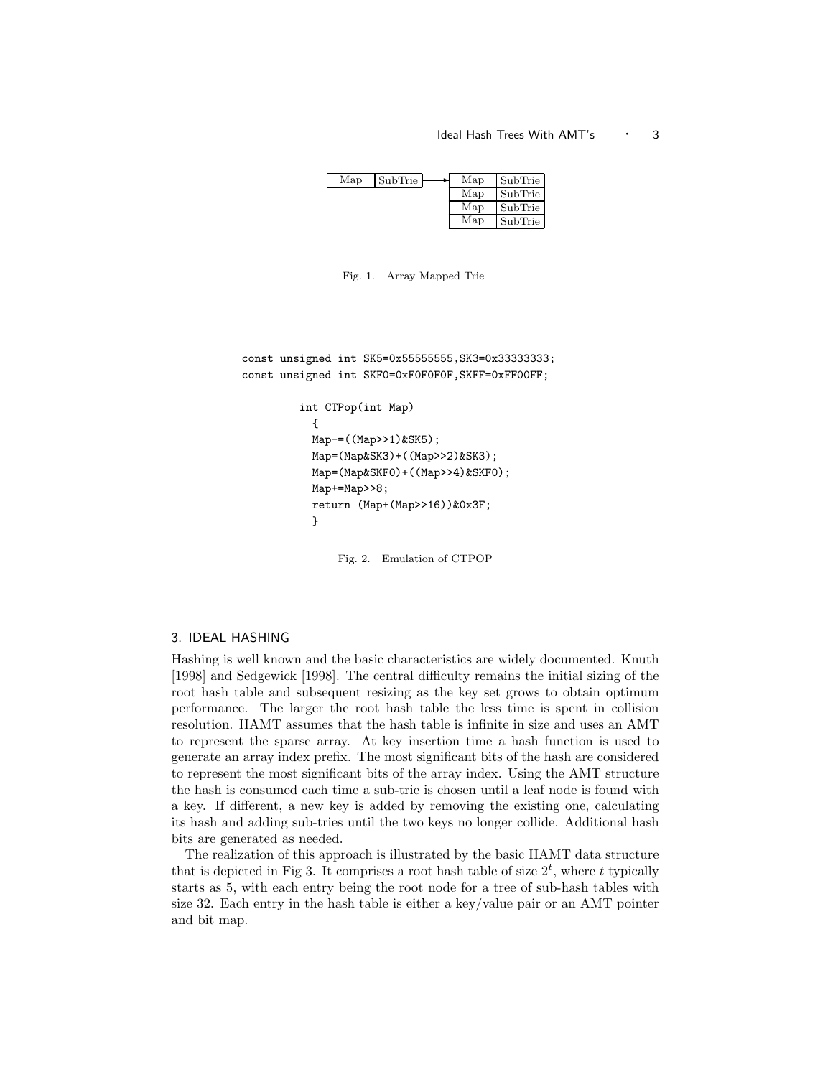## Ideal Hash Trees With AMT's  $\cdot$  3

| Map | SubTrie | Map | SubTrie |
|-----|---------|-----|---------|
|     |         | Map | SubTrie |
|     |         | Map | SubTrie |
|     |         | Map | SubTrie |

Fig. 1. Array Mapped Trie

```
const unsigned int SK5=0x55555555,SK3=0x33333333;
const unsigned int SKF0=0xF0F0F0F,SKFF=0xFF00FF;
         int CTPop(int Map)
           {
           Map-=((Map>>1)&SK5);
           Map=(Map&SK3)+((Map>>2)&SK3);
           Map=(Map&SKF0)+((Map>>4)&SKF0);
           Map+=Map>>8;
           return (Map+(Map>>16))&0x3F;
           }
```
Fig. 2. Emulation of CTPOP

## 3. IDEAL HASHING

Hashing is well known and the basic characteristics are widely documented. Knuth [1998] and Sedgewick [1998]. The central difficulty remains the initial sizing of the root hash table and subsequent resizing as the key set grows to obtain optimum performance. The larger the root hash table the less time is spent in collision resolution. HAMT assumes that the hash table is infinite in size and uses an AMT to represent the sparse array. At key insertion time a hash function is used to generate an array index prefix. The most significant bits of the hash are considered to represent the most significant bits of the array index. Using the AMT structure the hash is consumed each time a sub-trie is chosen until a leaf node is found with a key. If different, a new key is added by removing the existing one, calculating its hash and adding sub-tries until the two keys no longer collide. Additional hash bits are generated as needed.

The realization of this approach is illustrated by the basic HAMT data structure that is depicted in Fig 3. It comprises a root hash table of size  $2<sup>t</sup>$ , where t typically starts as 5, with each entry being the root node for a tree of sub-hash tables with size 32. Each entry in the hash table is either a key/value pair or an AMT pointer and bit map.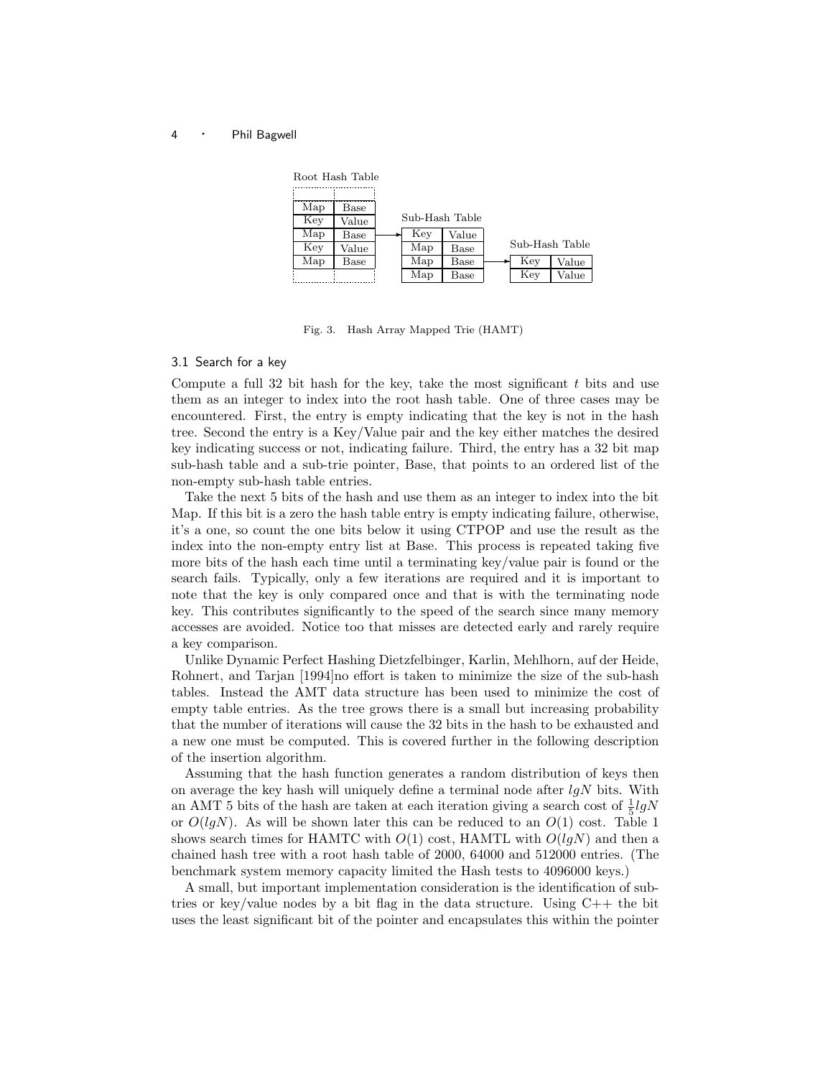

Fig. 3. Hash Array Mapped Trie (HAMT)

#### 3.1 Search for a key

Compute a full 32 bit hash for the key, take the most significant  $t$  bits and use them as an integer to index into the root hash table. One of three cases may be encountered. First, the entry is empty indicating that the key is not in the hash tree. Second the entry is a Key/Value pair and the key either matches the desired key indicating success or not, indicating failure. Third, the entry has a 32 bit map sub-hash table and a sub-trie pointer, Base, that points to an ordered list of the non-empty sub-hash table entries.

Take the next 5 bits of the hash and use them as an integer to index into the bit Map. If this bit is a zero the hash table entry is empty indicating failure, otherwise, it's a one, so count the one bits below it using CTPOP and use the result as the index into the non-empty entry list at Base. This process is repeated taking five more bits of the hash each time until a terminating key/value pair is found or the search fails. Typically, only a few iterations are required and it is important to note that the key is only compared once and that is with the terminating node key. This contributes significantly to the speed of the search since many memory accesses are avoided. Notice too that misses are detected early and rarely require a key comparison.

Unlike Dynamic Perfect Hashing Dietzfelbinger, Karlin, Mehlhorn, auf der Heide, Rohnert, and Tarjan [1994]no effort is taken to minimize the size of the sub-hash tables. Instead the AMT data structure has been used to minimize the cost of empty table entries. As the tree grows there is a small but increasing probability that the number of iterations will cause the 32 bits in the hash to be exhausted and a new one must be computed. This is covered further in the following description of the insertion algorithm.

Assuming that the hash function generates a random distribution of keys then on average the key hash will uniquely define a terminal node after  $lgN$  bits. With an AMT 5 bits of the hash are taken at each iteration giving a search cost of  $\frac{1}{5}lgN$ or  $O(lgN)$ . As will be shown later this can be reduced to an  $O(1)$  cost. Table 1 shows search times for HAMTC with  $O(1)$  cost, HAMTL with  $O(lqN)$  and then a chained hash tree with a root hash table of 2000, 64000 and 512000 entries. (The benchmark system memory capacity limited the Hash tests to 4096000 keys.)

A small, but important implementation consideration is the identification of subtries or key/value nodes by a bit flag in the data structure. Using  $C_{++}$  the bit uses the least significant bit of the pointer and encapsulates this within the pointer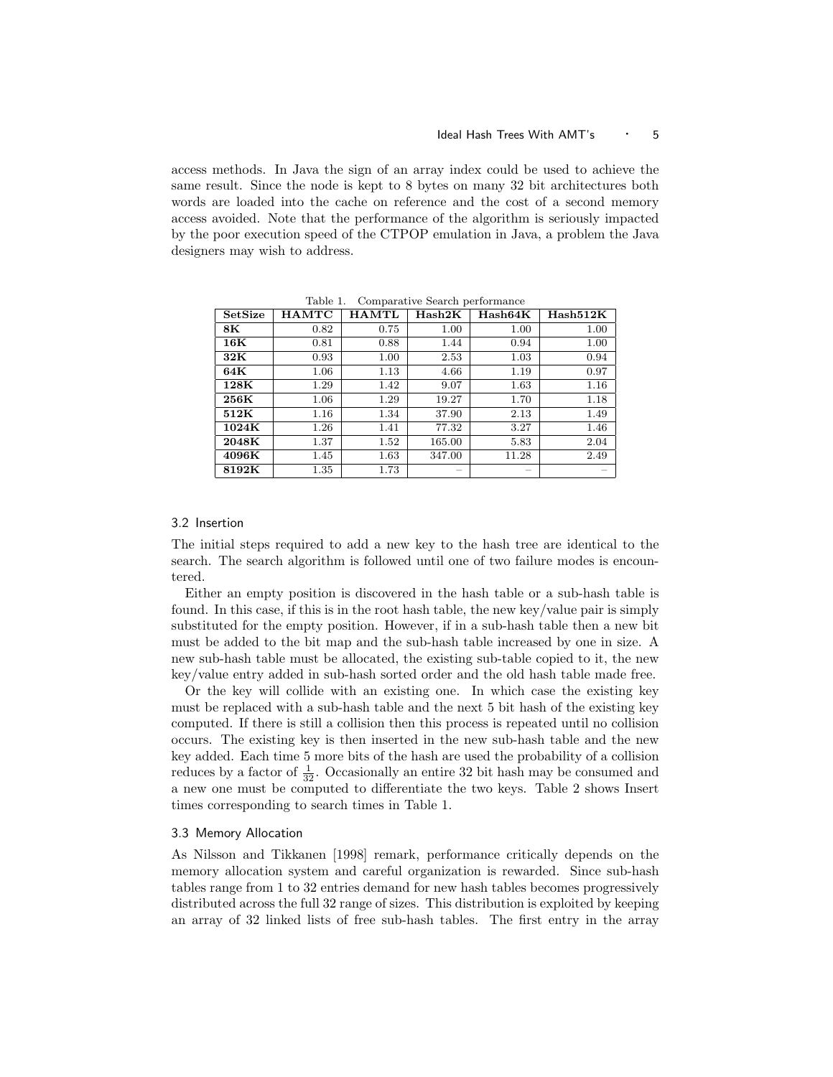access methods. In Java the sign of an array index could be used to achieve the same result. Since the node is kept to 8 bytes on many 32 bit architectures both words are loaded into the cache on reference and the cost of a second memory access avoided. Note that the performance of the algorithm is seriously impacted by the poor execution speed of the CTPOP emulation in Java, a problem the Java designers may wish to address.

| SetSize        | <b>HAMTC</b> | <b>HAMTL</b> | $_{\rm{Hash2K}}$ | Hash64K | Hash512K |
|----------------|--------------|--------------|------------------|---------|----------|
| 8K             | 0.82         | 0.75         | 1.00             | 1.00    | 1.00     |
| $16\mathrm{K}$ | 0.81         | 0.88         | 1.44             | 0.94    | 1.00     |
| 32K            | 0.93         | 1.00         | 2.53             | 1.03    | 0.94     |
| 64K            | $1.06\,$     | 1.13         | 4.66             | 1.19    | 0.97     |
| 128K           | 1.29         | 1.42         | 9.07             | 1.63    | 1.16     |
| 256K           | 1.06         | 1.29         | 19.27            | 1.70    | 1.18     |
| 512K           | 1.16         | 1.34         | 37.90            | 2.13    | 1.49     |
| 1024K          | 1.26         | 1.41         | 77.32            | 3.27    | 1.46     |
| 2048K          | 1.37         | 1.52         | 165.00           | 5.83    | 2.04     |
| 4096K          | 1.45         | 1.63         | 347.00           | 11.28   | 2.49     |
| 8192K          | 1.35         | 1.73         |                  |         |          |

Table 1. Comparative Search performance

# 3.2 Insertion

The initial steps required to add a new key to the hash tree are identical to the search. The search algorithm is followed until one of two failure modes is encountered.

Either an empty position is discovered in the hash table or a sub-hash table is found. In this case, if this is in the root hash table, the new key/value pair is simply substituted for the empty position. However, if in a sub-hash table then a new bit must be added to the bit map and the sub-hash table increased by one in size. A new sub-hash table must be allocated, the existing sub-table copied to it, the new key/value entry added in sub-hash sorted order and the old hash table made free.

Or the key will collide with an existing one. In which case the existing key must be replaced with a sub-hash table and the next 5 bit hash of the existing key computed. If there is still a collision then this process is repeated until no collision occurs. The existing key is then inserted in the new sub-hash table and the new key added. Each time 5 more bits of the hash are used the probability of a collision reduces by a factor of  $\frac{1}{32}$ . Occasionally an entire 32 bit hash may be consumed and a new one must be computed to differentiate the two keys. Table 2 shows Insert times corresponding to search times in Table 1.

#### 3.3 Memory Allocation

As Nilsson and Tikkanen [1998] remark, performance critically depends on the memory allocation system and careful organization is rewarded. Since sub-hash tables range from 1 to 32 entries demand for new hash tables becomes progressively distributed across the full 32 range of sizes. This distribution is exploited by keeping an array of 32 linked lists of free sub-hash tables. The first entry in the array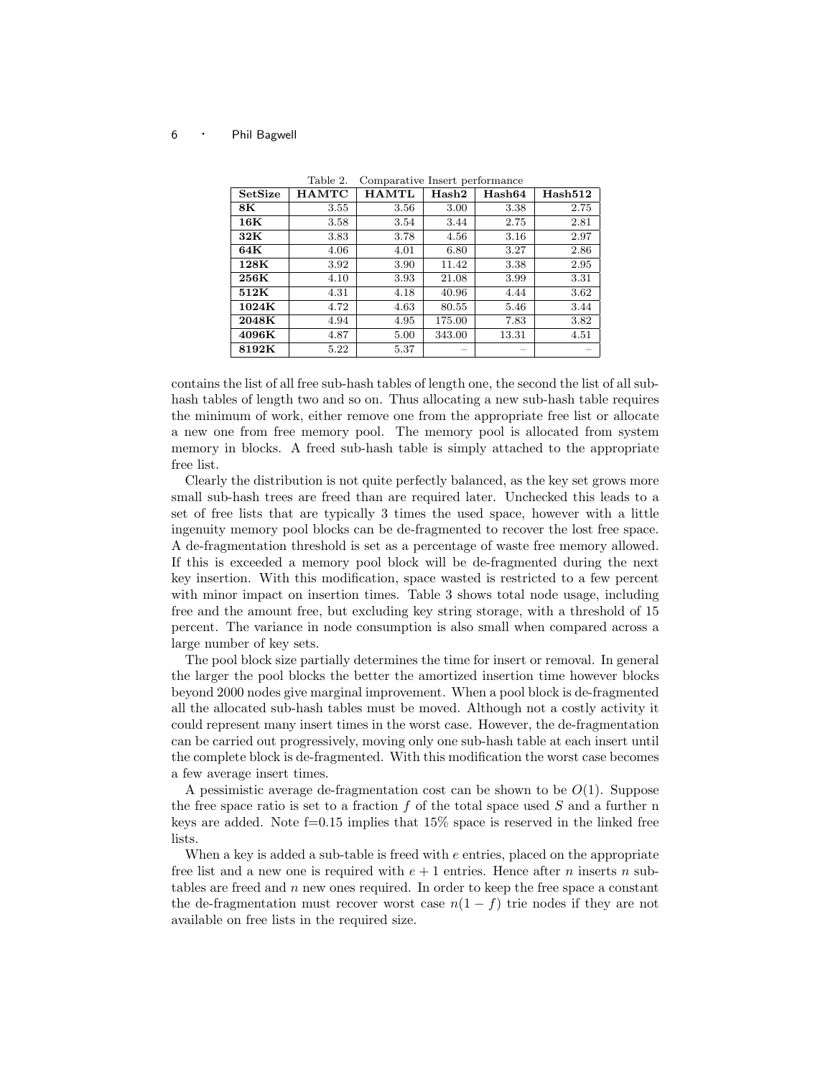| SetSize        | <b>HAMTC</b> | <b>HAMTL</b> | Hash2  | $_{\rm Hash64}$ | Hash512 |
|----------------|--------------|--------------|--------|-----------------|---------|
| $8\mathrm{K}$  | 3.55         | 3.56         | 3.00   | 3.38            | 2.75    |
| $16\mathrm{K}$ | 3.58         | 3.54         | 3.44   | 2.75            | 2.81    |
| 32K            | 3.83         | 3.78         | 4.56   | 3.16            | 2.97    |
| 64K            | 4.06         | 4.01         | 6.80   | 3.27            | 2.86    |
| 128K           | 3.92         | 3.90         | 11.42  | 3.38            | 2.95    |
| 256K           | 4.10         | 3.93         | 21.08  | 3.99            | 3.31    |
| 512K           | 4.31         | 4.18         | 40.96  | 4.44            | 3.62    |
| 1024K          | 4.72         | 4.63         | 80.55  | 5.46            | 3.44    |
| 2048K          | 4.94         | 4.95         | 175.00 | 7.83            | 3.82    |
| 4096K          | 4.87         | 5.00         | 343.00 | 13.31           | 4.51    |
| 8192K          | 5.22         | 5.37         |        |                 |         |

Table 2. Comparative Insert performance

contains the list of all free sub-hash tables of length one, the second the list of all subhash tables of length two and so on. Thus allocating a new sub-hash table requires the minimum of work, either remove one from the appropriate free list or allocate a new one from free memory pool. The memory pool is allocated from system memory in blocks. A freed sub-hash table is simply attached to the appropriate free list.

Clearly the distribution is not quite perfectly balanced, as the key set grows more small sub-hash trees are freed than are required later. Unchecked this leads to a set of free lists that are typically 3 times the used space, however with a little ingenuity memory pool blocks can be de-fragmented to recover the lost free space. A de-fragmentation threshold is set as a percentage of waste free memory allowed. If this is exceeded a memory pool block will be de-fragmented during the next key insertion. With this modification, space wasted is restricted to a few percent with minor impact on insertion times. Table 3 shows total node usage, including free and the amount free, but excluding key string storage, with a threshold of 15 percent. The variance in node consumption is also small when compared across a large number of key sets.

The pool block size partially determines the time for insert or removal. In general the larger the pool blocks the better the amortized insertion time however blocks beyond 2000 nodes give marginal improvement. When a pool block is de-fragmented all the allocated sub-hash tables must be moved. Although not a costly activity it could represent many insert times in the worst case. However, the de-fragmentation can be carried out progressively, moving only one sub-hash table at each insert until the complete block is de-fragmented. With this modification the worst case becomes a few average insert times.

A pessimistic average de-fragmentation cost can be shown to be  $O(1)$ . Suppose the free space ratio is set to a fraction  $f$  of the total space used  $S$  and a further n keys are added. Note  $f=0.15$  implies that 15% space is reserved in the linked free lists.

When a key is added a sub-table is freed with e entries, placed on the appropriate free list and a new one is required with  $e + 1$  entries. Hence after n inserts n subtables are freed and  $n$  new ones required. In order to keep the free space a constant the de-fragmentation must recover worst case  $n(1-f)$  trie nodes if they are not available on free lists in the required size.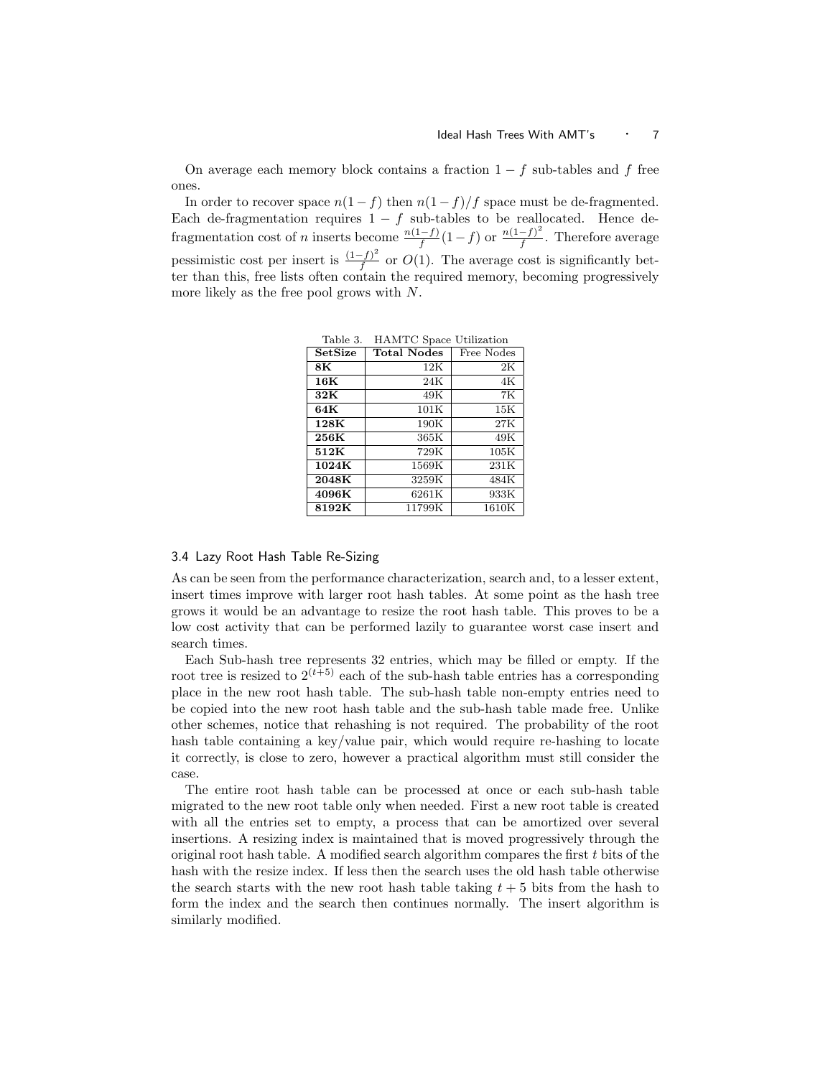On average each memory block contains a fraction  $1 - f$  sub-tables and f free ones.

In order to recover space  $n(1-f)$  then  $n(1-f)/f$  space must be de-fragmented. Each de-fragmentation requires  $1 - f$  sub-tables to be reallocated. Hence defragmentation cost of n inserts become  $\frac{n(1-f)}{f}(1-f)$  or  $\frac{n(1-f)^2}{f}$  $\frac{-f}{f}$ . Therefore average pessimistic cost per insert is  $\frac{(1-f)^2}{f}$  $\frac{f-f}{f}$  or  $O(1)$ . The average cost is significantly better than this, free lists often contain the required memory, becoming progressively more likely as the free pool grows with N.

| rable 3. | HAMIC Space Utilization |               |
|----------|-------------------------|---------------|
| SetSize  | <b>Total Nodes</b>      | Free Nodes    |
| 8K       | 12K                     | $2\mathrm{K}$ |
| 16K      | 24K                     | 4K            |
| 32K      | 49K                     | 7K            |
| 64K      | 101K                    | 15K           |
| 128K     | 190K                    | 27K           |
| 256K     | 365K                    | 49K           |
| 512K     | 729K                    | 105K          |
| 1024K    | 1569K                   | 231K          |
| 2048K    | 3259K                   | 484K          |
| 4096K    | 6261K                   | 933K          |
| 8192K    | 11799K                  | 1610K         |

 $T<sub>1</sub>$ ,  $\alpha$  IIAMTC  $S<sub>2</sub>$ , IIII.

## 3.4 Lazy Root Hash Table Re-Sizing

As can be seen from the performance characterization, search and, to a lesser extent, insert times improve with larger root hash tables. At some point as the hash tree grows it would be an advantage to resize the root hash table. This proves to be a low cost activity that can be performed lazily to guarantee worst case insert and search times.

Each Sub-hash tree represents 32 entries, which may be filled or empty. If the root tree is resized to  $2^{(t+5)}$  each of the sub-hash table entries has a corresponding place in the new root hash table. The sub-hash table non-empty entries need to be copied into the new root hash table and the sub-hash table made free. Unlike other schemes, notice that rehashing is not required. The probability of the root hash table containing a key/value pair, which would require re-hashing to locate it correctly, is close to zero, however a practical algorithm must still consider the case.

The entire root hash table can be processed at once or each sub-hash table migrated to the new root table only when needed. First a new root table is created with all the entries set to empty, a process that can be amortized over several insertions. A resizing index is maintained that is moved progressively through the original root hash table. A modified search algorithm compares the first t bits of the hash with the resize index. If less then the search uses the old hash table otherwise the search starts with the new root hash table taking  $t + 5$  bits from the hash to form the index and the search then continues normally. The insert algorithm is similarly modified.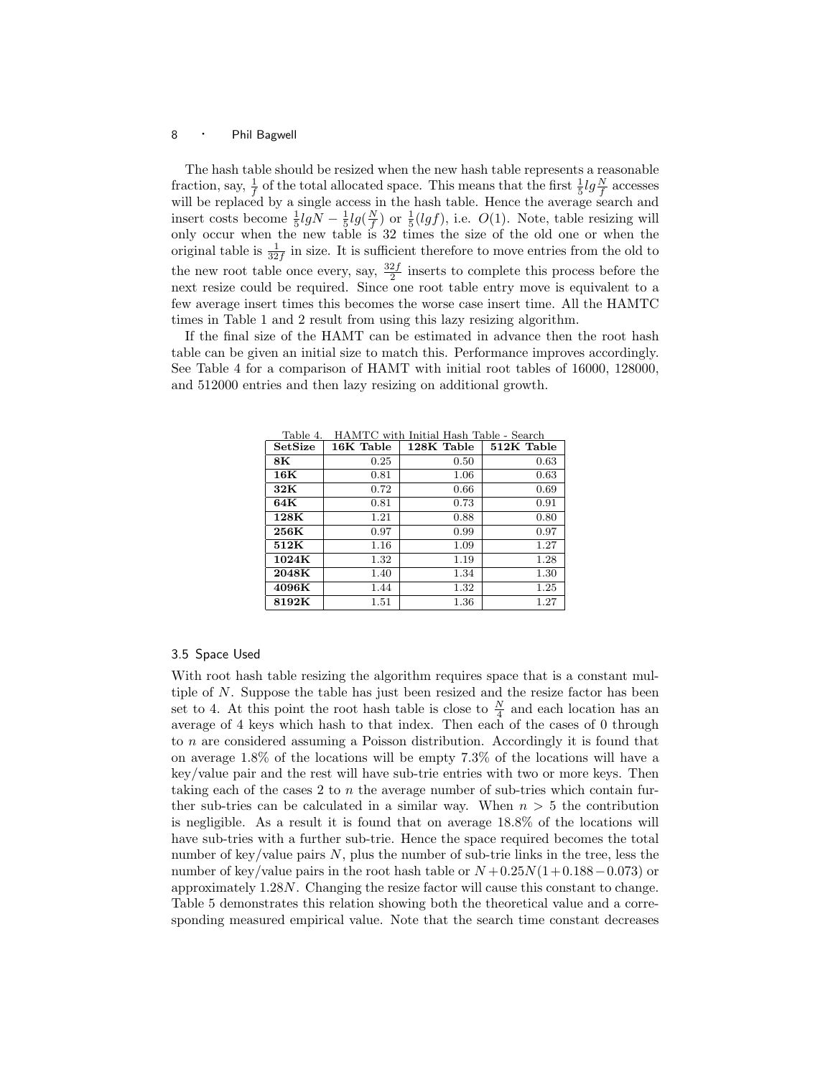The hash table should be resized when the new hash table represents a reasonable fraction, say,  $\frac{1}{f}$  of the total allocated space. This means that the first  $\frac{1}{5}lg \frac{N}{f}$  accesses will be replaced by a single access in the hash table. Hence the average search and insert costs become  $\frac{1}{5}lgN - \frac{1}{5}lg(\frac{N}{f})$  or  $\frac{1}{5}(lgf)$ , i.e.  $O(1)$ . Note, table resizing will only occur when the new table is 32 times the size of the old one or when the original table is  $\frac{1}{32f}$  in size. It is sufficient therefore to move entries from the old to the new root table once every, say,  $\frac{32f}{2}$  inserts to complete this process before the next resize could be required. Since one root table entry move is equivalent to a few average insert times this becomes the worse case insert time. All the HAMTC times in Table 1 and 2 result from using this lazy resizing algorithm.

If the final size of the HAMT can be estimated in advance then the root hash table can be given an initial size to match this. Performance improves accordingly. See Table 4 for a comparison of HAMT with initial root tables of 16000, 128000, and 512000 entries and then lazy resizing on additional growth.

| таріє ч.<br>SetSize | 16K Table | плитте мин пшиаг назн тарк - реаген<br>128K Table | 512K Table |
|---------------------|-----------|---------------------------------------------------|------------|
| 8K                  | 0.25      | 0.50                                              | 0.63       |
| 16K                 | 0.81      | 1.06                                              | 0.63       |
| 32K                 | 0.72      | 0.66                                              | 0.69       |
| 64K                 | 0.81      | 0.73                                              | 0.91       |
| $128\mathrm{K}$     | 1.21      | 0.88                                              | 0.80       |
| 256K                | 0.97      | 0.99                                              | 0.97       |
| 512K                | 1.16      | 1.09                                              | 1.27       |
| 1024K               | 1.32      | 1.19                                              | 1.28       |
| 2048K               | 1.40      | 1.34                                              | 1.30       |
| 4096K               | 1.44      | 1.32                                              | 1.25       |
| 8192K               | 1.51      | 1.36                                              | 1.27       |

Table 4. HAMTC with Initial Hash Table - Search

# 3.5 Space Used

With root hash table resizing the algorithm requires space that is a constant multiple of N. Suppose the table has just been resized and the resize factor has been set to 4. At this point the root hash table is close to  $\frac{N}{4}$  and each location has an average of 4 keys which hash to that index. Then each of the cases of 0 through to n are considered assuming a Poisson distribution. Accordingly it is found that on average 1.8% of the locations will be empty 7.3% of the locations will have a key/value pair and the rest will have sub-trie entries with two or more keys. Then taking each of the cases 2 to  $n$  the average number of sub-tries which contain further sub-tries can be calculated in a similar way. When  $n > 5$  the contribution is negligible. As a result it is found that on average 18.8% of the locations will have sub-tries with a further sub-trie. Hence the space required becomes the total number of key/value pairs  $N$ , plus the number of sub-trie links in the tree, less the number of key/value pairs in the root hash table or  $N + 0.25N(1+0.188-0.073)$  or approximately 1.28N. Changing the resize factor will cause this constant to change. Table 5 demonstrates this relation showing both the theoretical value and a corresponding measured empirical value. Note that the search time constant decreases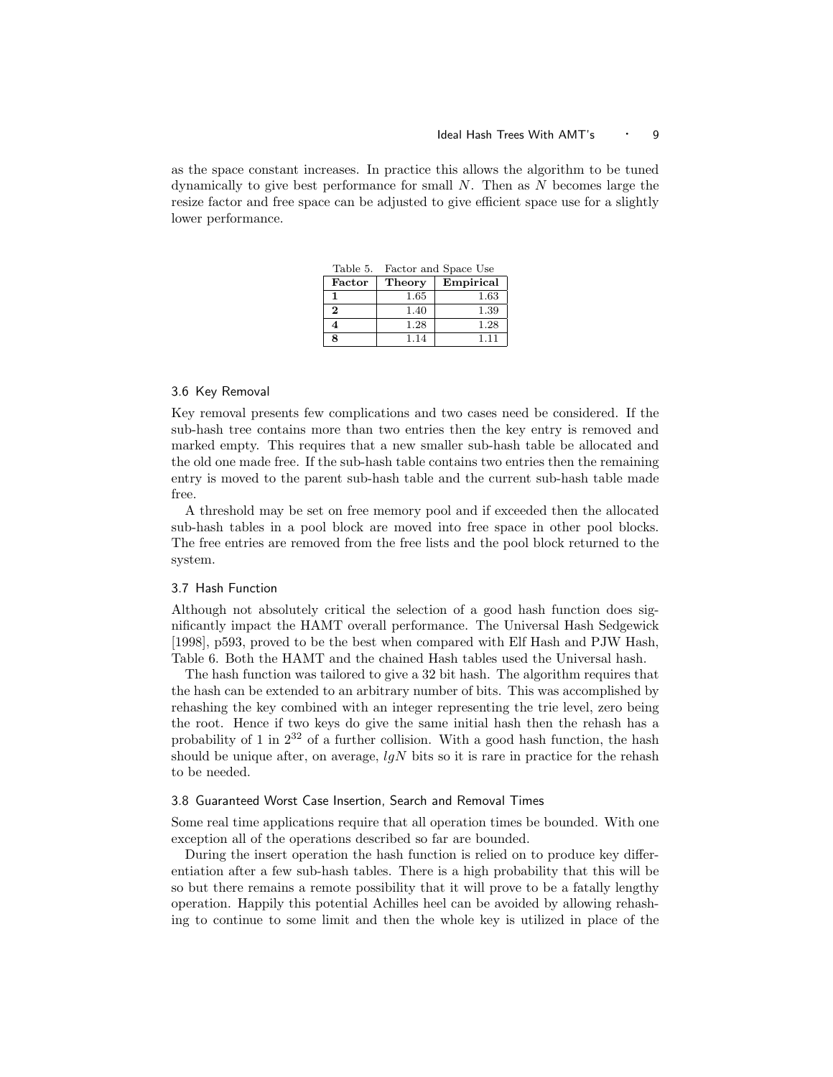as the space constant increases. In practice this allows the algorithm to be tuned dynamically to give best performance for small  $N$ . Then as  $N$  becomes large the resize factor and free space can be adjusted to give efficient space use for a slightly lower performance.

| Table 5. | Factor and Space Use |           |  |  |  |
|----------|----------------------|-----------|--|--|--|
| Factor   | Theory               | Empirical |  |  |  |
|          | 1.65                 | 1.63      |  |  |  |
| $\bf{2}$ | 1.40                 | 1.39      |  |  |  |
|          | 1.28                 | 1.28      |  |  |  |
| 8        | 1.14                 | 111       |  |  |  |

### 3.6 Key Removal

Key removal presents few complications and two cases need be considered. If the sub-hash tree contains more than two entries then the key entry is removed and marked empty. This requires that a new smaller sub-hash table be allocated and the old one made free. If the sub-hash table contains two entries then the remaining entry is moved to the parent sub-hash table and the current sub-hash table made free.

A threshold may be set on free memory pool and if exceeded then the allocated sub-hash tables in a pool block are moved into free space in other pool blocks. The free entries are removed from the free lists and the pool block returned to the system.

## 3.7 Hash Function

Although not absolutely critical the selection of a good hash function does significantly impact the HAMT overall performance. The Universal Hash Sedgewick [1998], p593, proved to be the best when compared with Elf Hash and PJW Hash, Table 6. Both the HAMT and the chained Hash tables used the Universal hash.

The hash function was tailored to give a 32 bit hash. The algorithm requires that the hash can be extended to an arbitrary number of bits. This was accomplished by rehashing the key combined with an integer representing the trie level, zero being the root. Hence if two keys do give the same initial hash then the rehash has a probability of 1 in  $2^{32}$  of a further collision. With a good hash function, the hash should be unique after, on average,  $lgN$  bits so it is rare in practice for the rehash to be needed.

## 3.8 Guaranteed Worst Case Insertion, Search and Removal Times

Some real time applications require that all operation times be bounded. With one exception all of the operations described so far are bounded.

During the insert operation the hash function is relied on to produce key differentiation after a few sub-hash tables. There is a high probability that this will be so but there remains a remote possibility that it will prove to be a fatally lengthy operation. Happily this potential Achilles heel can be avoided by allowing rehashing to continue to some limit and then the whole key is utilized in place of the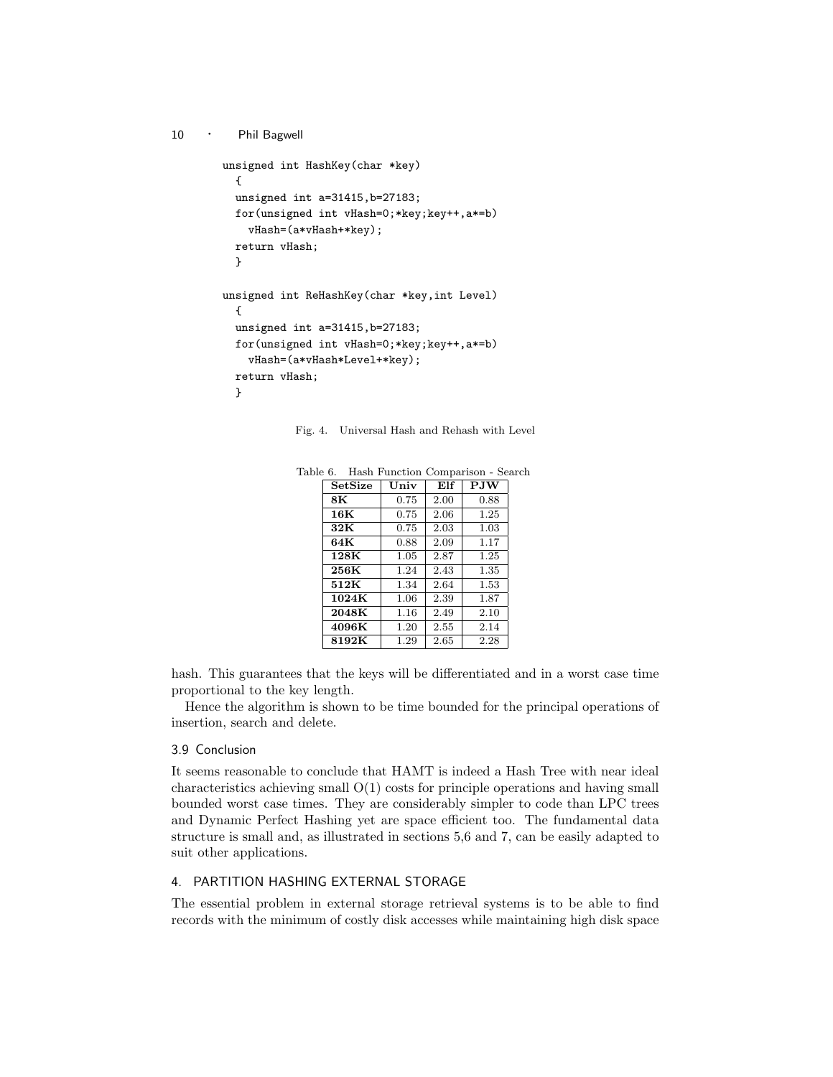```
10 · Phil Bagwell
        unsigned int HashKey(char *key)
          {
          unsigned int a=31415,b=27183;
          for(unsigned int vHash=0;*key;key++,a*=b)
            vHash=(a*vHash+*key);
          return vHash;
          }
        unsigned int ReHashKey(char *key,int Level)
          {
          unsigned int a=31415,b=27183;
          for(unsigned int vHash=0;*key;key++,a*=b)
            vHash=(a*vHash*Level+*key);
          return vHash;
          }
```
Fig. 4. Universal Hash and Rehash with Level

| SetSize | Univ | Elf  | <b>PJW</b> |
|---------|------|------|------------|
| 8К      | 0.75 | 2.00 | 0.88       |
| 16K     | 0.75 | 2.06 | 1.25       |
| 32K     | 0.75 | 2.03 | 1.03       |
| 64K     | 0.88 | 2.09 | 1.17       |
| 128K    | 1.05 | 2.87 | 1.25       |
| 256K    | 1.24 | 2.43 | 1.35       |
| 512K    | 1.34 | 2.64 | 1.53       |
| 1024K   | 1.06 | 2.39 | 1.87       |
| 2048K   | 1.16 | 2.49 | 2.10       |
| 4096K   | 1.20 | 2.55 | 2.14       |
| 8192K   | 1.29 | 2.65 | 2.28       |

Table 6. Hash Function Comparison - Search

hash. This guarantees that the keys will be differentiated and in a worst case time proportional to the key length.

Hence the algorithm is shown to be time bounded for the principal operations of insertion, search and delete.

## 3.9 Conclusion

It seems reasonable to conclude that HAMT is indeed a Hash Tree with near ideal characteristics achieving small O(1) costs for principle operations and having small bounded worst case times. They are considerably simpler to code than LPC trees and Dynamic Perfect Hashing yet are space efficient too. The fundamental data structure is small and, as illustrated in sections 5,6 and 7, can be easily adapted to suit other applications.

# 4. PARTITION HASHING EXTERNAL STORAGE

The essential problem in external storage retrieval systems is to be able to find records with the minimum of costly disk accesses while maintaining high disk space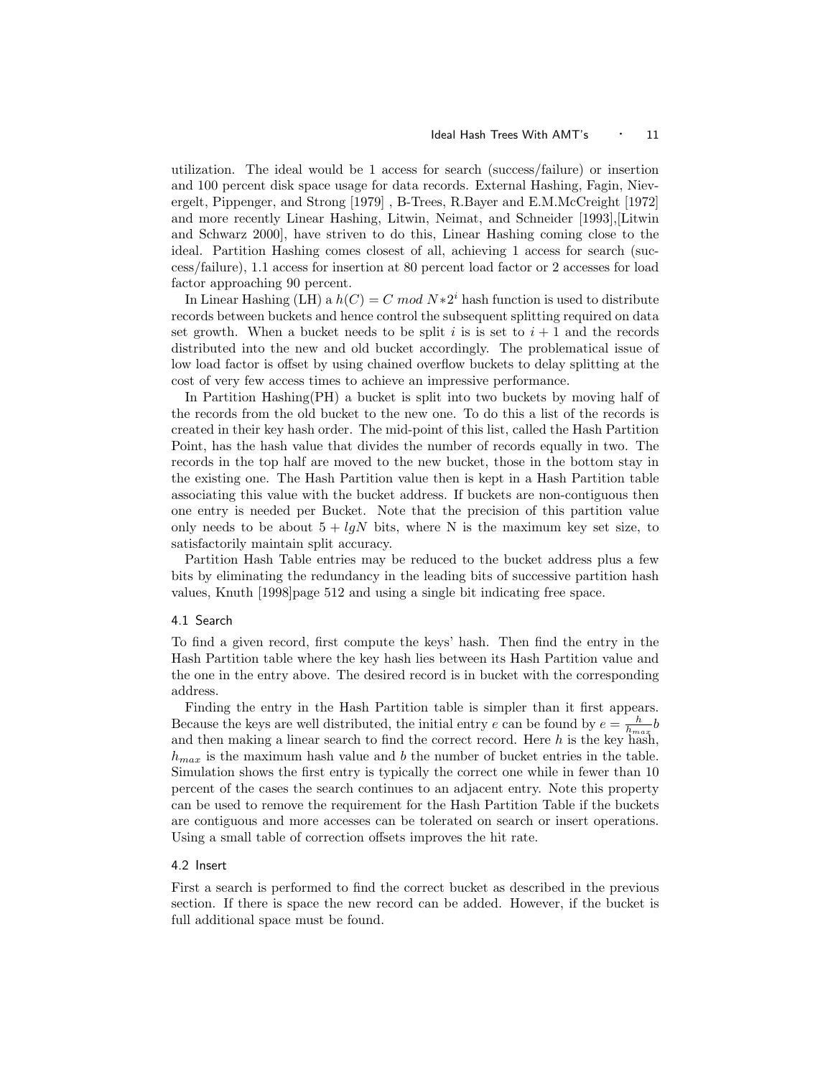#### Ideal Hash Trees With AMT's 11

utilization. The ideal would be 1 access for search (success/failure) or insertion and 100 percent disk space usage for data records. External Hashing, Fagin, Nievergelt, Pippenger, and Strong [1979] , B-Trees, R.Bayer and E.M.McCreight [1972] and more recently Linear Hashing, Litwin, Neimat, and Schneider [1993],[Litwin and Schwarz 2000], have striven to do this, Linear Hashing coming close to the ideal. Partition Hashing comes closest of all, achieving 1 access for search (success/failure), 1.1 access for insertion at 80 percent load factor or 2 accesses for load factor approaching 90 percent.

In Linear Hashing (LH) a  $h(C) = C \mod N * 2^i$  hash function is used to distribute records between buckets and hence control the subsequent splitting required on data set growth. When a bucket needs to be split i is is set to  $i + 1$  and the records distributed into the new and old bucket accordingly. The problematical issue of low load factor is offset by using chained overflow buckets to delay splitting at the cost of very few access times to achieve an impressive performance.

In Partition Hashing(PH) a bucket is split into two buckets by moving half of the records from the old bucket to the new one. To do this a list of the records is created in their key hash order. The mid-point of this list, called the Hash Partition Point, has the hash value that divides the number of records equally in two. The records in the top half are moved to the new bucket, those in the bottom stay in the existing one. The Hash Partition value then is kept in a Hash Partition table associating this value with the bucket address. If buckets are non-contiguous then one entry is needed per Bucket. Note that the precision of this partition value only needs to be about  $5 + \ell qN$  bits, where N is the maximum key set size, to satisfactorily maintain split accuracy.

Partition Hash Table entries may be reduced to the bucket address plus a few bits by eliminating the redundancy in the leading bits of successive partition hash values, Knuth [1998]page 512 and using a single bit indicating free space.

## 4.1 Search

To find a given record, first compute the keys' hash. Then find the entry in the Hash Partition table where the key hash lies between its Hash Partition value and the one in the entry above. The desired record is in bucket with the corresponding address.

Finding the entry in the Hash Partition table is simpler than it first appears. Because the keys are well distributed, the initial entry e can be found by  $e = \frac{h}{h_{max}} b$ and then making a linear search to find the correct record. Here  $h$  is the key hash,  $h_{max}$  is the maximum hash value and b the number of bucket entries in the table. Simulation shows the first entry is typically the correct one while in fewer than 10 percent of the cases the search continues to an adjacent entry. Note this property can be used to remove the requirement for the Hash Partition Table if the buckets are contiguous and more accesses can be tolerated on search or insert operations. Using a small table of correction offsets improves the hit rate.

## 4.2 Insert

First a search is performed to find the correct bucket as described in the previous section. If there is space the new record can be added. However, if the bucket is full additional space must be found.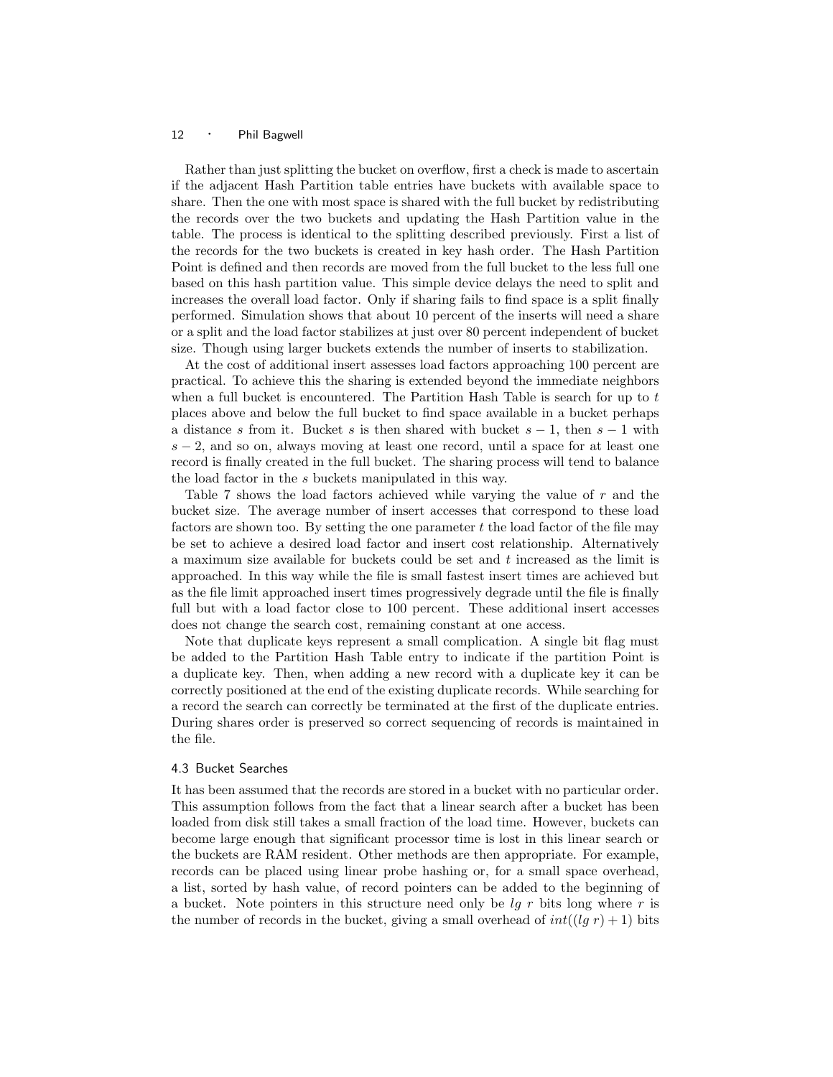Rather than just splitting the bucket on overflow, first a check is made to ascertain if the adjacent Hash Partition table entries have buckets with available space to share. Then the one with most space is shared with the full bucket by redistributing the records over the two buckets and updating the Hash Partition value in the table. The process is identical to the splitting described previously. First a list of the records for the two buckets is created in key hash order. The Hash Partition Point is defined and then records are moved from the full bucket to the less full one based on this hash partition value. This simple device delays the need to split and increases the overall load factor. Only if sharing fails to find space is a split finally performed. Simulation shows that about 10 percent of the inserts will need a share or a split and the load factor stabilizes at just over 80 percent independent of bucket size. Though using larger buckets extends the number of inserts to stabilization.

At the cost of additional insert assesses load factors approaching 100 percent are practical. To achieve this the sharing is extended beyond the immediate neighbors when a full bucket is encountered. The Partition Hash Table is search for up to  $t$ places above and below the full bucket to find space available in a bucket perhaps a distance s from it. Bucket s is then shared with bucket  $s - 1$ , then  $s - 1$  with  $s - 2$ , and so on, always moving at least one record, until a space for at least one record is finally created in the full bucket. The sharing process will tend to balance the load factor in the s buckets manipulated in this way.

Table 7 shows the load factors achieved while varying the value of r and the bucket size. The average number of insert accesses that correspond to these load factors are shown too. By setting the one parameter  $t$  the load factor of the file may be set to achieve a desired load factor and insert cost relationship. Alternatively a maximum size available for buckets could be set and  $t$  increased as the limit is approached. In this way while the file is small fastest insert times are achieved but as the file limit approached insert times progressively degrade until the file is finally full but with a load factor close to 100 percent. These additional insert accesses does not change the search cost, remaining constant at one access.

Note that duplicate keys represent a small complication. A single bit flag must be added to the Partition Hash Table entry to indicate if the partition Point is a duplicate key. Then, when adding a new record with a duplicate key it can be correctly positioned at the end of the existing duplicate records. While searching for a record the search can correctly be terminated at the first of the duplicate entries. During shares order is preserved so correct sequencing of records is maintained in the file.

## 4.3 Bucket Searches

It has been assumed that the records are stored in a bucket with no particular order. This assumption follows from the fact that a linear search after a bucket has been loaded from disk still takes a small fraction of the load time. However, buckets can become large enough that significant processor time is lost in this linear search or the buckets are RAM resident. Other methods are then appropriate. For example, records can be placed using linear probe hashing or, for a small space overhead, a list, sorted by hash value, of record pointers can be added to the beginning of a bucket. Note pointers in this structure need only be  $lqr$  bits long where r is the number of records in the bucket, giving a small overhead of  $int((lg r) + 1)$  bits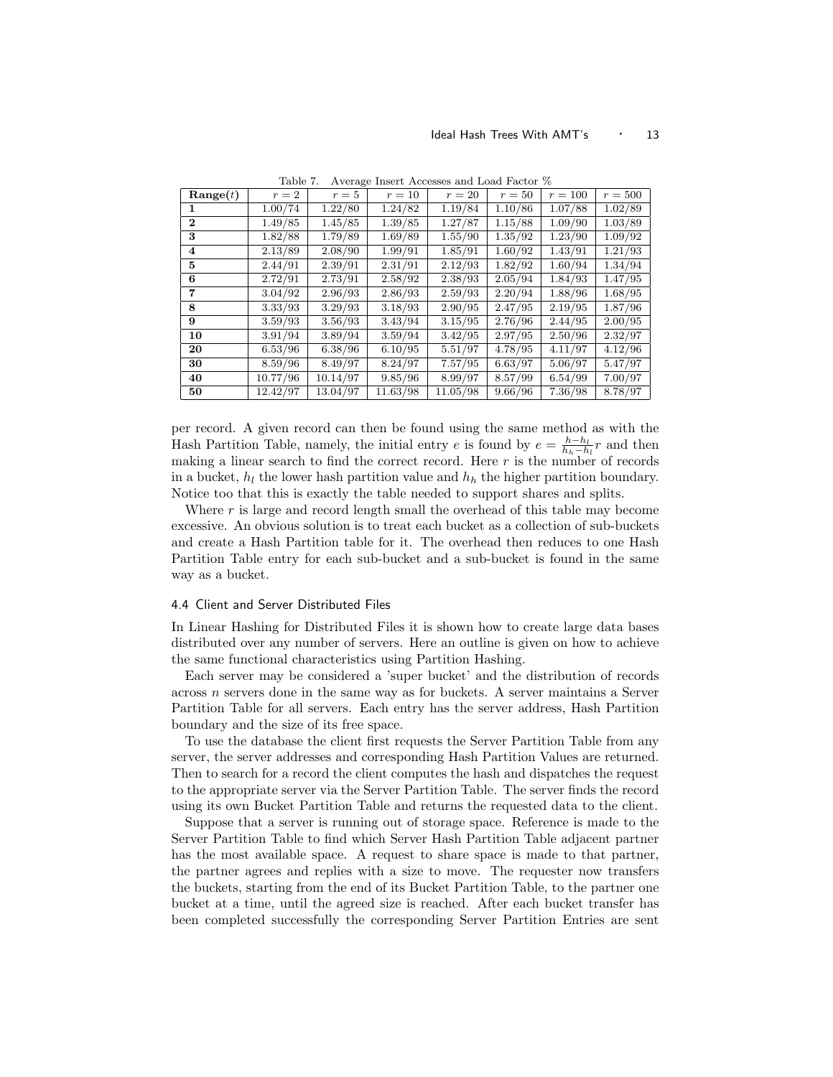| $\mathbf{Range}(t)$ | $r=2$    | $r=5$    | $r=10$   | $r=20$   | $r=50$  | $r = 100$ | $r=500$ |
|---------------------|----------|----------|----------|----------|---------|-----------|---------|
| 1.                  | 1.00/74  | 1.22/80  | 1.24/82  | 1.19/84  | 1.10/86 | 1.07/88   | 1.02/89 |
| $\mathbf 2$         | 1.49/85  | 1.45/85  | 1.39/85  | 1.27/87  | 1.15/88 | 1.09/90   | 1.03/89 |
| 3                   | 1.82/88  | 1.79/89  | 1.69/89  | 1.55/90  | 1.35/92 | 1.23/90   | 1.09/92 |
| 4                   | 2.13/89  | 2.08/90  | 1.99/91  | 1.85/91  | 1.60/92 | 1.43/91   | 1.21/93 |
| 5                   | 2.44/91  | 2.39/91  | 2.31/91  | 2.12/93  | 1.82/92 | 1.60/94   | 1.34/94 |
| 6                   | 2.72/91  | 2.73/91  | 2.58/92  | 2.38/93  | 2.05/94 | 1.84/93   | 1.47/95 |
| 7                   | 3.04/92  | 2.96/93  | 2.86/93  | 2.59/93  | 2.20/94 | 1.88/96   | 1.68/95 |
| 8                   | 3.33/93  | 3.29/93  | 3.18/93  | 2.90/95  | 2.47/95 | 2.19/95   | 1.87/96 |
| 9                   | 3.59/93  | 3.56/93  | 3.43/94  | 3.15/95  | 2.76/96 | 2.44/95   | 2.00/95 |
| 10                  | 3.91/94  | 3.89/94  | 3.59/94  | 3.42/95  | 2.97/95 | 2.50/96   | 2.32/97 |
| 20                  | 6.53/96  | 6.38/96  | 6.10/95  | 5.51/97  | 4.78/95 | 4.11/97   | 4.12/96 |
| 30                  | 8.59/96  | 8.49/97  | 8.24/97  | 7.57/95  | 6.63/97 | 5.06/97   | 5.47/97 |
| 40                  | 10.77/96 | 10.14/97 | 9.85/96  | 8.99/97  | 8.57/99 | 6.54/99   | 7.00/97 |
| 50                  | 12.42/97 | 13.04/97 | 11.63/98 | 11.05/98 | 9.66/96 | 7.36/98   | 8.78/97 |

Table 7. Average Insert Accesses and Load Factor %

per record. A given record can then be found using the same method as with the Hash Partition Table, namely, the initial entry e is found by  $e = \frac{h-h_l}{h_h-h_l}r$  and then making a linear search to find the correct record. Here  $r$  is the number of records in a bucket,  $h_l$  the lower hash partition value and  $h_h$  the higher partition boundary. Notice too that this is exactly the table needed to support shares and splits.

Where  $r$  is large and record length small the overhead of this table may become excessive. An obvious solution is to treat each bucket as a collection of sub-buckets and create a Hash Partition table for it. The overhead then reduces to one Hash Partition Table entry for each sub-bucket and a sub-bucket is found in the same way as a bucket.

#### 4.4 Client and Server Distributed Files

In Linear Hashing for Distributed Files it is shown how to create large data bases distributed over any number of servers. Here an outline is given on how to achieve the same functional characteristics using Partition Hashing.

Each server may be considered a 'super bucket' and the distribution of records across n servers done in the same way as for buckets. A server maintains a Server Partition Table for all servers. Each entry has the server address, Hash Partition boundary and the size of its free space.

To use the database the client first requests the Server Partition Table from any server, the server addresses and corresponding Hash Partition Values are returned. Then to search for a record the client computes the hash and dispatches the request to the appropriate server via the Server Partition Table. The server finds the record using its own Bucket Partition Table and returns the requested data to the client.

Suppose that a server is running out of storage space. Reference is made to the Server Partition Table to find which Server Hash Partition Table adjacent partner has the most available space. A request to share space is made to that partner, the partner agrees and replies with a size to move. The requester now transfers the buckets, starting from the end of its Bucket Partition Table, to the partner one bucket at a time, until the agreed size is reached. After each bucket transfer has been completed successfully the corresponding Server Partition Entries are sent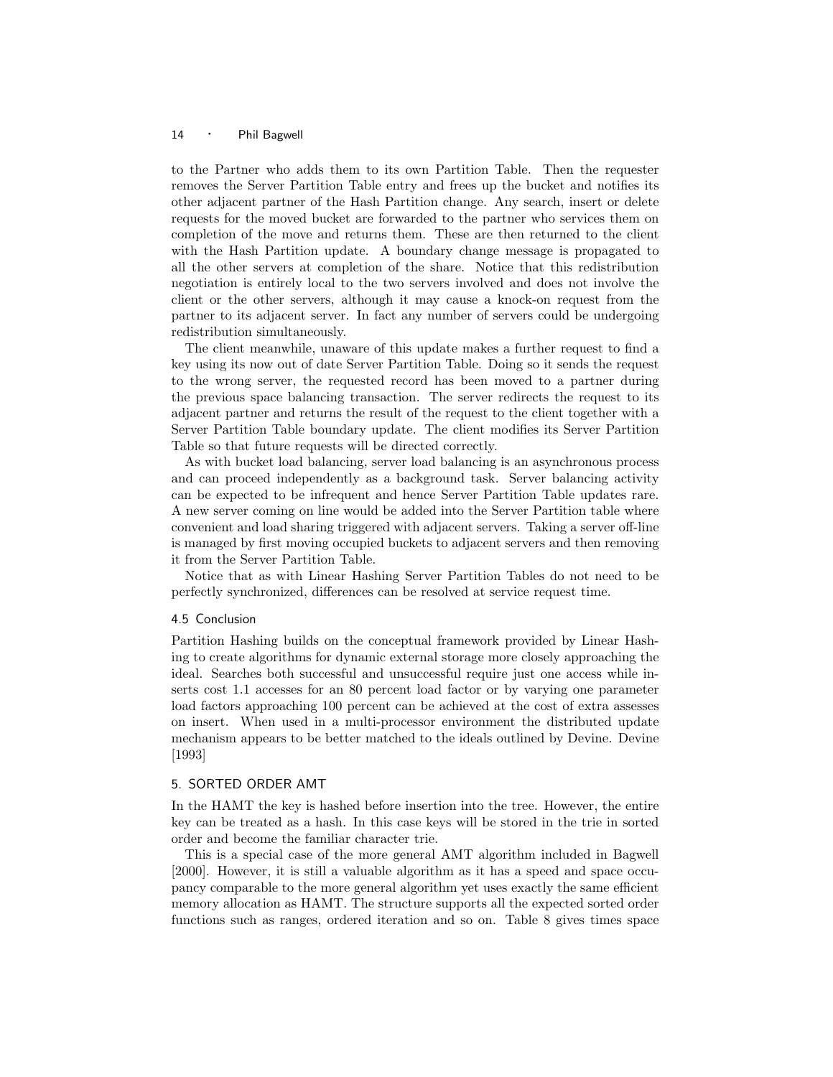to the Partner who adds them to its own Partition Table. Then the requester removes the Server Partition Table entry and frees up the bucket and notifies its other adjacent partner of the Hash Partition change. Any search, insert or delete requests for the moved bucket are forwarded to the partner who services them on completion of the move and returns them. These are then returned to the client with the Hash Partition update. A boundary change message is propagated to all the other servers at completion of the share. Notice that this redistribution negotiation is entirely local to the two servers involved and does not involve the client or the other servers, although it may cause a knock-on request from the partner to its adjacent server. In fact any number of servers could be undergoing redistribution simultaneously.

The client meanwhile, unaware of this update makes a further request to find a key using its now out of date Server Partition Table. Doing so it sends the request to the wrong server, the requested record has been moved to a partner during the previous space balancing transaction. The server redirects the request to its adjacent partner and returns the result of the request to the client together with a Server Partition Table boundary update. The client modifies its Server Partition Table so that future requests will be directed correctly.

As with bucket load balancing, server load balancing is an asynchronous process and can proceed independently as a background task. Server balancing activity can be expected to be infrequent and hence Server Partition Table updates rare. A new server coming on line would be added into the Server Partition table where convenient and load sharing triggered with adjacent servers. Taking a server off-line is managed by first moving occupied buckets to adjacent servers and then removing it from the Server Partition Table.

Notice that as with Linear Hashing Server Partition Tables do not need to be perfectly synchronized, differences can be resolved at service request time.

## 4.5 Conclusion

Partition Hashing builds on the conceptual framework provided by Linear Hashing to create algorithms for dynamic external storage more closely approaching the ideal. Searches both successful and unsuccessful require just one access while inserts cost 1.1 accesses for an 80 percent load factor or by varying one parameter load factors approaching 100 percent can be achieved at the cost of extra assesses on insert. When used in a multi-processor environment the distributed update mechanism appears to be better matched to the ideals outlined by Devine. Devine [1993]

## 5. SORTED ORDER AMT

In the HAMT the key is hashed before insertion into the tree. However, the entire key can be treated as a hash. In this case keys will be stored in the trie in sorted order and become the familiar character trie.

This is a special case of the more general AMT algorithm included in Bagwell [2000]. However, it is still a valuable algorithm as it has a speed and space occupancy comparable to the more general algorithm yet uses exactly the same efficient memory allocation as HAMT. The structure supports all the expected sorted order functions such as ranges, ordered iteration and so on. Table 8 gives times space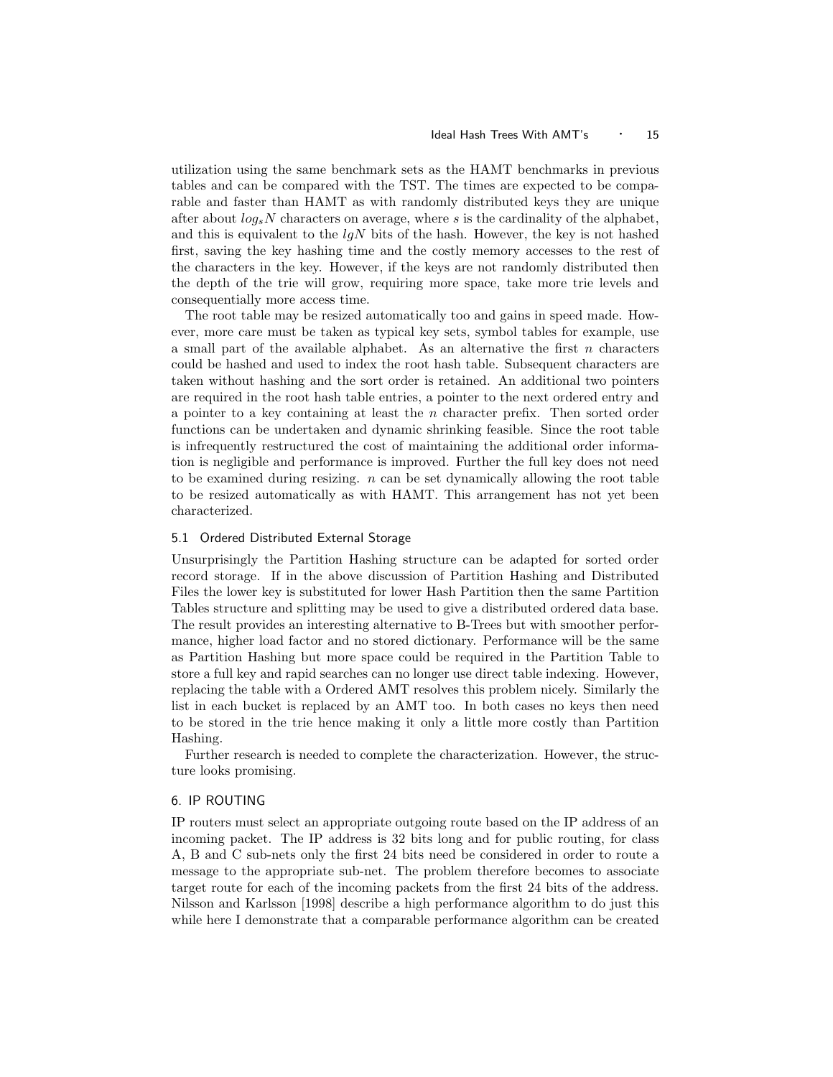#### Ideal Hash Trees With AMT's  $\cdot$  15

utilization using the same benchmark sets as the HAMT benchmarks in previous tables and can be compared with the TST. The times are expected to be comparable and faster than HAMT as with randomly distributed keys they are unique after about  $log_s N$  characters on average, where s is the cardinality of the alphabet, and this is equivalent to the  $lqN$  bits of the hash. However, the key is not hashed first, saving the key hashing time and the costly memory accesses to the rest of the characters in the key. However, if the keys are not randomly distributed then the depth of the trie will grow, requiring more space, take more trie levels and consequentially more access time.

The root table may be resized automatically too and gains in speed made. However, more care must be taken as typical key sets, symbol tables for example, use a small part of the available alphabet. As an alternative the first  $n$  characters could be hashed and used to index the root hash table. Subsequent characters are taken without hashing and the sort order is retained. An additional two pointers are required in the root hash table entries, a pointer to the next ordered entry and a pointer to a key containing at least the  $n$  character prefix. Then sorted order functions can be undertaken and dynamic shrinking feasible. Since the root table is infrequently restructured the cost of maintaining the additional order information is negligible and performance is improved. Further the full key does not need to be examined during resizing.  $n$  can be set dynamically allowing the root table to be resized automatically as with HAMT. This arrangement has not yet been characterized.

## 5.1 Ordered Distributed External Storage

Unsurprisingly the Partition Hashing structure can be adapted for sorted order record storage. If in the above discussion of Partition Hashing and Distributed Files the lower key is substituted for lower Hash Partition then the same Partition Tables structure and splitting may be used to give a distributed ordered data base. The result provides an interesting alternative to B-Trees but with smoother performance, higher load factor and no stored dictionary. Performance will be the same as Partition Hashing but more space could be required in the Partition Table to store a full key and rapid searches can no longer use direct table indexing. However, replacing the table with a Ordered AMT resolves this problem nicely. Similarly the list in each bucket is replaced by an AMT too. In both cases no keys then need to be stored in the trie hence making it only a little more costly than Partition Hashing.

Further research is needed to complete the characterization. However, the structure looks promising.

# 6. IP ROUTING

IP routers must select an appropriate outgoing route based on the IP address of an incoming packet. The IP address is 32 bits long and for public routing, for class A, B and C sub-nets only the first 24 bits need be considered in order to route a message to the appropriate sub-net. The problem therefore becomes to associate target route for each of the incoming packets from the first 24 bits of the address. Nilsson and Karlsson [1998] describe a high performance algorithm to do just this while here I demonstrate that a comparable performance algorithm can be created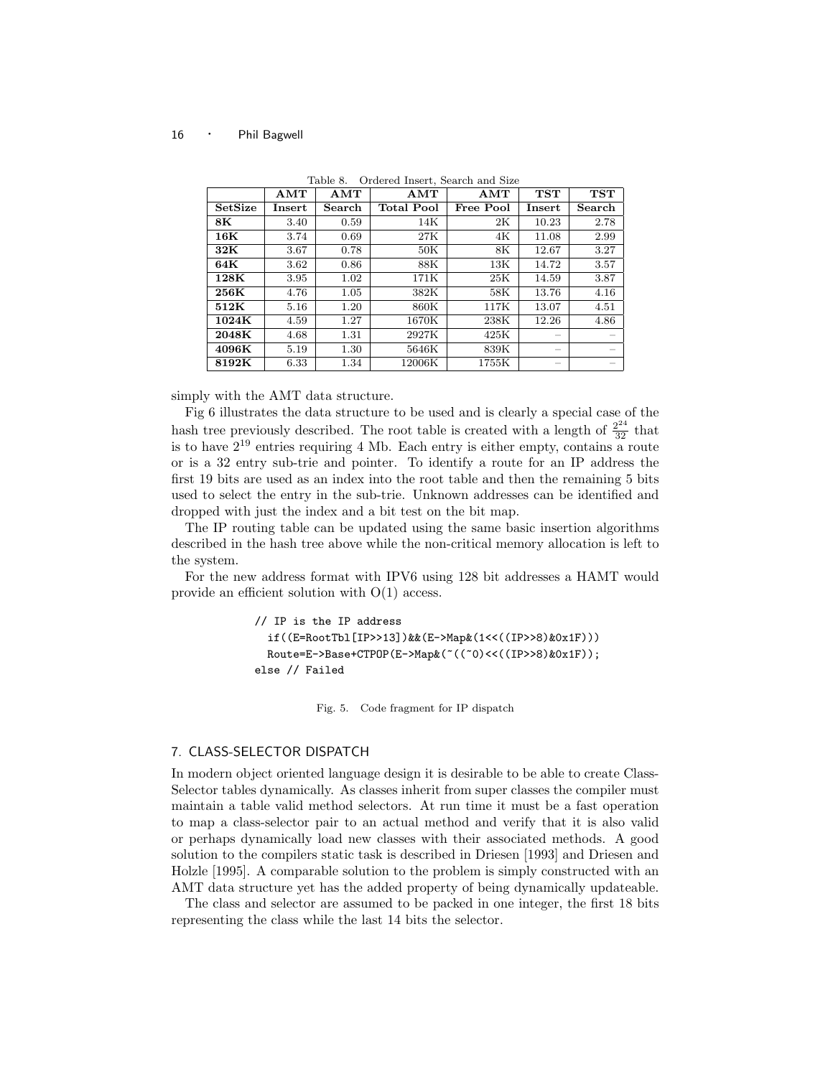|                 | AMT                     | AMT    | AMT               | AMT       | <b>TST</b> | <b>TST</b> |
|-----------------|-------------------------|--------|-------------------|-----------|------------|------------|
| <b>SetSize</b>  | $\operatorname{Insert}$ | Search | <b>Total Pool</b> | Free Pool | Insert     | Search     |
| 8K              | 3.40                    | 0.59   | 14K               | 2K        | 10.23      | 2.78       |
| $16\mathrm{K}$  | 3.74                    | 0.69   | 27K               | 4K        | 11.08      | 2.99       |
| 32K             | 3.67                    | 0.78   | 50K               | 8K        | 12.67      | 3.27       |
| 64K             | 3.62                    | 0.86   | 88K               | 13K       | 14.72      | 3.57       |
| 128K            | 3.95                    | 1.02   | 171K              | 25K       | 14.59      | 3.87       |
| $256\mathrm{K}$ | 4.76                    | 1.05   | 382K              | 58K       | 13.76      | 4.16       |
| 512K            | 5.16                    | 1.20   | 860K              | 117K      | 13.07      | 4.51       |
| 1024K           | 4.59                    | 1.27   | 1670K             | 238K      | 12.26      | 4.86       |
| 2048K           | 4.68                    | 1.31   | 2927K             | 425K      |            |            |
| 4096K           | 5.19                    | 1.30   | 5646K             | 839K      |            |            |
| 8192K           | 6.33                    | 1.34   | 12006K            | 1755K     |            |            |

Table 8. Ordered Insert, Search and Size

simply with the AMT data structure.

Fig 6 illustrates the data structure to be used and is clearly a special case of the hash tree previously described. The root table is created with a length of  $\frac{2^{24}}{32}$  that is to have  $2^{19}$  entries requiring 4 Mb. Each entry is either empty, contains a route or is a 32 entry sub-trie and pointer. To identify a route for an IP address the first 19 bits are used as an index into the root table and then the remaining 5 bits used to select the entry in the sub-trie. Unknown addresses can be identified and dropped with just the index and a bit test on the bit map.

The IP routing table can be updated using the same basic insertion algorithms described in the hash tree above while the non-critical memory allocation is left to the system.

For the new address format with IPV6 using 128 bit addresses a HAMT would provide an efficient solution with O(1) access.

```
// IP is the IP address
  if((E=RootTbl[IP>>13])&&(E->Map&(1<<((IP>>8)&0x1F)))
  Route=E->Base+CTPOP(E->Map&(~((~0)<<((IP>>8)&0x1F));
else // Failed
```
Fig. 5. Code fragment for IP dispatch

## 7. CLASS-SELECTOR DISPATCH

In modern object oriented language design it is desirable to be able to create Class-Selector tables dynamically. As classes inherit from super classes the compiler must maintain a table valid method selectors. At run time it must be a fast operation to map a class-selector pair to an actual method and verify that it is also valid or perhaps dynamically load new classes with their associated methods. A good solution to the compilers static task is described in Driesen [1993] and Driesen and Holzle [1995]. A comparable solution to the problem is simply constructed with an AMT data structure yet has the added property of being dynamically updateable.

The class and selector are assumed to be packed in one integer, the first 18 bits representing the class while the last 14 bits the selector.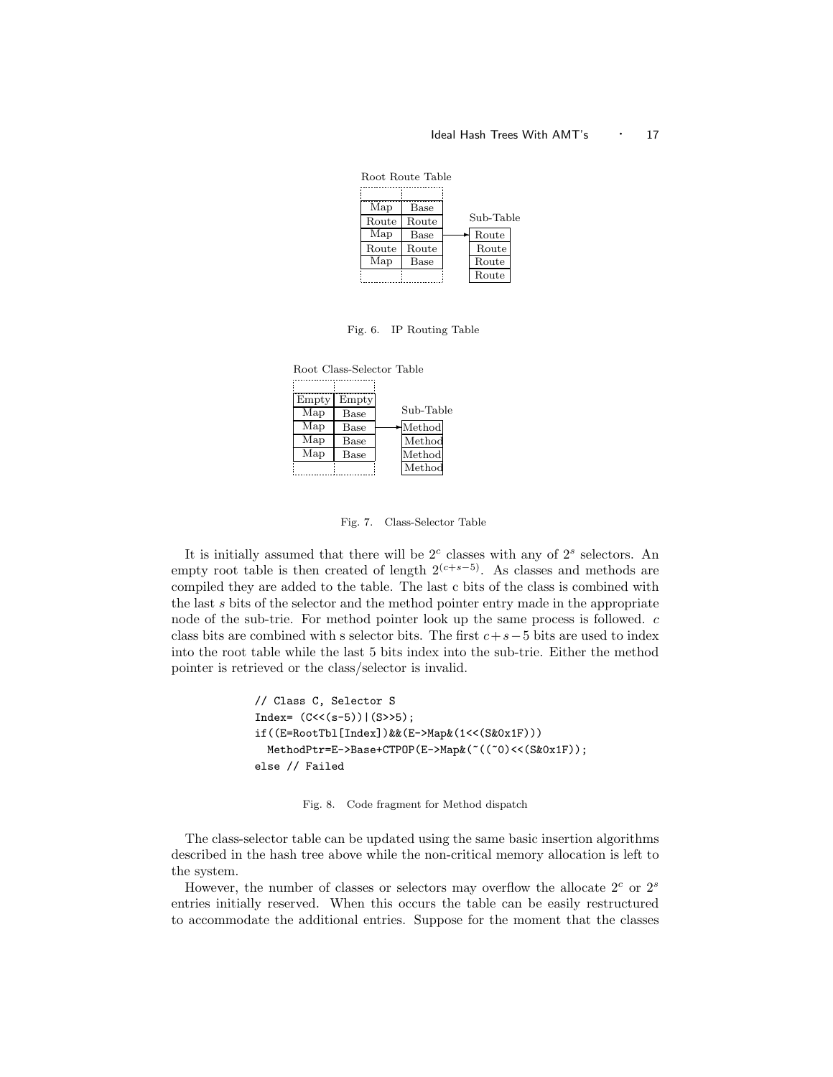## Ideal Hash Trees With AMT's  $\cdot$  17



Fig. 6. IP Routing Table

| Root Class-Selector Table |                      |           |
|---------------------------|----------------------|-----------|
|                           |                      |           |
| Empty<br>Map              | Empty<br><b>Base</b> | Sub-Table |
| Map                       | Base                 | Method    |
| Map                       | Base                 | Method    |
| Map                       | Base                 | Method    |
|                           |                      | Method    |

Fig. 7. Class-Selector Table

It is initially assumed that there will be  $2<sup>c</sup>$  classes with any of  $2<sup>s</sup>$  selectors. An empty root table is then created of length  $2^{(c+s-5)}$ . As classes and methods are compiled they are added to the table. The last c bits of the class is combined with the last s bits of the selector and the method pointer entry made in the appropriate node of the sub-trie. For method pointer look up the same process is followed. c class bits are combined with s selector bits. The first  $c+s-5$  bits are used to index into the root table while the last 5 bits index into the sub-trie. Either the method pointer is retrieved or the class/selector is invalid.

```
// Class C, Selector S
Index= (C<<(s-5))|(S>>5);if((E=RootTbl[Index])&&(E->Map&(1<<(S&0x1F)))
 MethodPtr=E->Base+CTPOP(E->Map&(~((~0)<<(S&0x1F));
else // Failed
```
Fig. 8. Code fragment for Method dispatch

The class-selector table can be updated using the same basic insertion algorithms described in the hash tree above while the non-critical memory allocation is left to the system.

However, the number of classes or selectors may overflow the allocate  $2^c$  or  $2^s$ entries initially reserved. When this occurs the table can be easily restructured to accommodate the additional entries. Suppose for the moment that the classes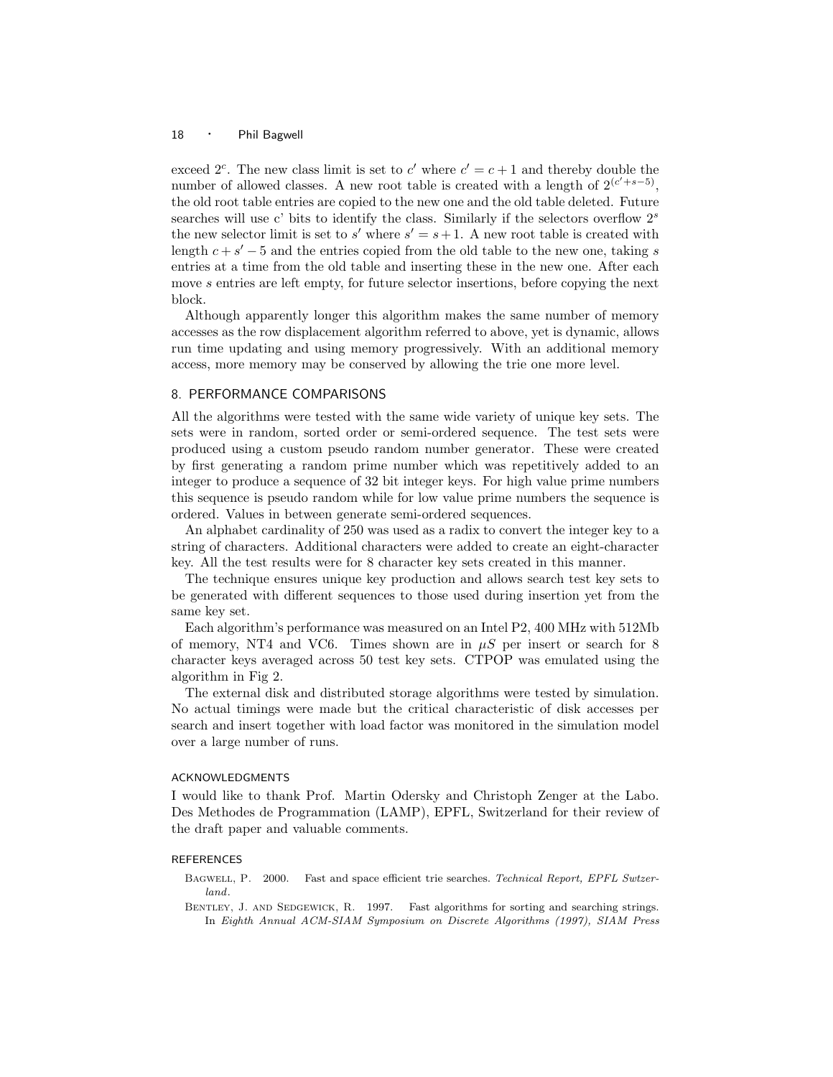exceed  $2^c$ . The new class limit is set to c' where  $c' = c + 1$  and thereby double the number of allowed classes. A new root table is created with a length of  $2^{(c'+s-5)}$ , the old root table entries are copied to the new one and the old table deleted. Future searches will use c' bits to identify the class. Similarly if the selectors overflow  $2<sup>s</sup>$ the new selector limit is set to  $s'$  where  $s' = s + 1$ . A new root table is created with length  $c + s' - 5$  and the entries copied from the old table to the new one, taking s entries at a time from the old table and inserting these in the new one. After each move s entries are left empty, for future selector insertions, before copying the next block.

Although apparently longer this algorithm makes the same number of memory accesses as the row displacement algorithm referred to above, yet is dynamic, allows run time updating and using memory progressively. With an additional memory access, more memory may be conserved by allowing the trie one more level.

## 8. PERFORMANCE COMPARISONS

All the algorithms were tested with the same wide variety of unique key sets. The sets were in random, sorted order or semi-ordered sequence. The test sets were produced using a custom pseudo random number generator. These were created by first generating a random prime number which was repetitively added to an integer to produce a sequence of 32 bit integer keys. For high value prime numbers this sequence is pseudo random while for low value prime numbers the sequence is ordered. Values in between generate semi-ordered sequences.

An alphabet cardinality of 250 was used as a radix to convert the integer key to a string of characters. Additional characters were added to create an eight-character key. All the test results were for 8 character key sets created in this manner.

The technique ensures unique key production and allows search test key sets to be generated with different sequences to those used during insertion yet from the same key set.

Each algorithm's performance was measured on an Intel P2, 400 MHz with 512Mb of memory, NT4 and VC6. Times shown are in  $\mu S$  per insert or search for 8 character keys averaged across 50 test key sets. CTPOP was emulated using the algorithm in Fig 2.

The external disk and distributed storage algorithms were tested by simulation. No actual timings were made but the critical characteristic of disk accesses per search and insert together with load factor was monitored in the simulation model over a large number of runs.

## ACKNOWLEDGMENTS

I would like to thank Prof. Martin Odersky and Christoph Zenger at the Labo. Des Methodes de Programmation (LAMP), EPFL, Switzerland for their review of the draft paper and valuable comments.

## **REFERENCES**

- BAGWELL, P. 2000. Fast and space efficient trie searches. Technical Report, EPFL Swtzerland.
- BENTLEY, J. AND SEDGEWICK, R. 1997. Fast algorithms for sorting and searching strings. In Eighth Annual ACM-SIAM Symposium on Discrete Algorithms (1997), SIAM Press